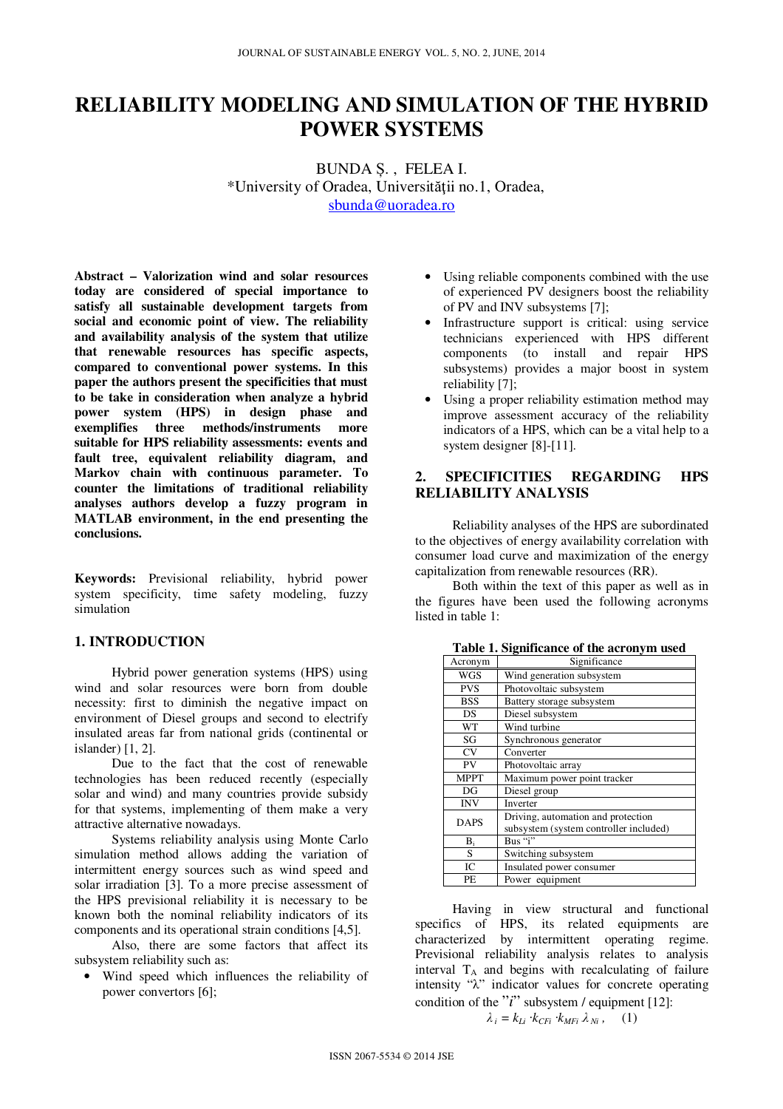# **RELIABILITY MODELING AND SIMULATION OF THE HYBRID POWER SYSTEMS**

BUNDA Ș. , FELEA I. \*University of Oradea, Universităţii no.1, Oradea, sbunda@uoradea.ro

**Abstract – Valorization wind and solar resources today are considered of special importance to satisfy all sustainable development targets from social and economic point of view. The reliability and availability analysis of the system that utilize that renewable resources has specific aspects, compared to conventional power systems. In this paper the authors present the specificities that must to be take in consideration when analyze a hybrid power system (HPS) in design phase and exemplifies three methods/instruments more suitable for HPS reliability assessments: events and fault tree, equivalent reliability diagram, and Markov chain with continuous parameter. To counter the limitations of traditional reliability analyses authors develop a fuzzy program in MATLAB environment, in the end presenting the conclusions.** 

**Keywords:** Previsional reliability, hybrid power system specificity, time safety modeling, fuzzy simulation

## **1. INTRODUCTION**

Hybrid power generation systems (HPS) using wind and solar resources were born from double necessity: first to diminish the negative impact on environment of Diesel groups and second to electrify insulated areas far from national grids (continental or islander) [1, 2].

Due to the fact that the cost of renewable technologies has been reduced recently (especially solar and wind) and many countries provide subsidy for that systems, implementing of them make a very attractive alternative nowadays.

Systems reliability analysis using Monte Carlo simulation method allows adding the variation of intermittent energy sources such as wind speed and solar irradiation [3]. To a more precise assessment of the HPS previsional reliability it is necessary to be known both the nominal reliability indicators of its components and its operational strain conditions [4,5].

Also, there are some factors that affect its subsystem reliability such as:

• Wind speed which influences the reliability of power convertors [6];

- Using reliable components combined with the use of experienced PV designers boost the reliability of PV and INV subsystems [7];
- Infrastructure support is critical: using service technicians experienced with HPS different components (to install and repair HPS subsystems) provides a major boost in system reliability [7];
- Using a proper reliability estimation method may improve assessment accuracy of the reliability indicators of a HPS, which can be a vital help to a system designer [8]-[11].

## **2. SPECIFICITIES REGARDING HPS RELIABILITY ANALYSIS**

Reliability analyses of the HPS are subordinated to the objectives of energy availability correlation with consumer load curve and maximization of the energy capitalization from renewable resources (RR).

Both within the text of this paper as well as in the figures have been used the following acronyms listed in table 1:

| Acronym     | Significance                           |
|-------------|----------------------------------------|
| WGS         | Wind generation subsystem              |
| <b>PVS</b>  | Photovoltaic subsystem                 |
| <b>BSS</b>  | Battery storage subsystem              |
| DS          | Diesel subsystem                       |
| WT          | Wind turbine                           |
| SG          | Synchronous generator                  |
| <b>CV</b>   | Converter                              |
| PV          | Photovoltaic array                     |
| <b>MPPT</b> | Maximum power point tracker            |
| DG          | Diesel group                           |
| INV         | Inverter                               |
| <b>DAPS</b> | Driving, automation and protection     |
|             | subsystem (system controller included) |
| $B_i$       | Bus "i"                                |
| S           | Switching subsystem                    |
| IC          | Insulated power consumer               |
| PE          | Power equipment                        |

**Table 1. Significance of the acronym used**

Having in view structural and functional specifics of HPS, its related equipments are characterized by intermittent operating regime. Previsional reliability analysis relates to analysis interval  $T_A$  and begins with recalculating of failure intensity "λ" indicator values for concrete operating condition of the "*i*" subsystem / equipment [12]:

$$
\lambda_i = k_{Li} \cdot k_{CFi} \cdot k_{MFi} \lambda_{Ni}, \quad (1)
$$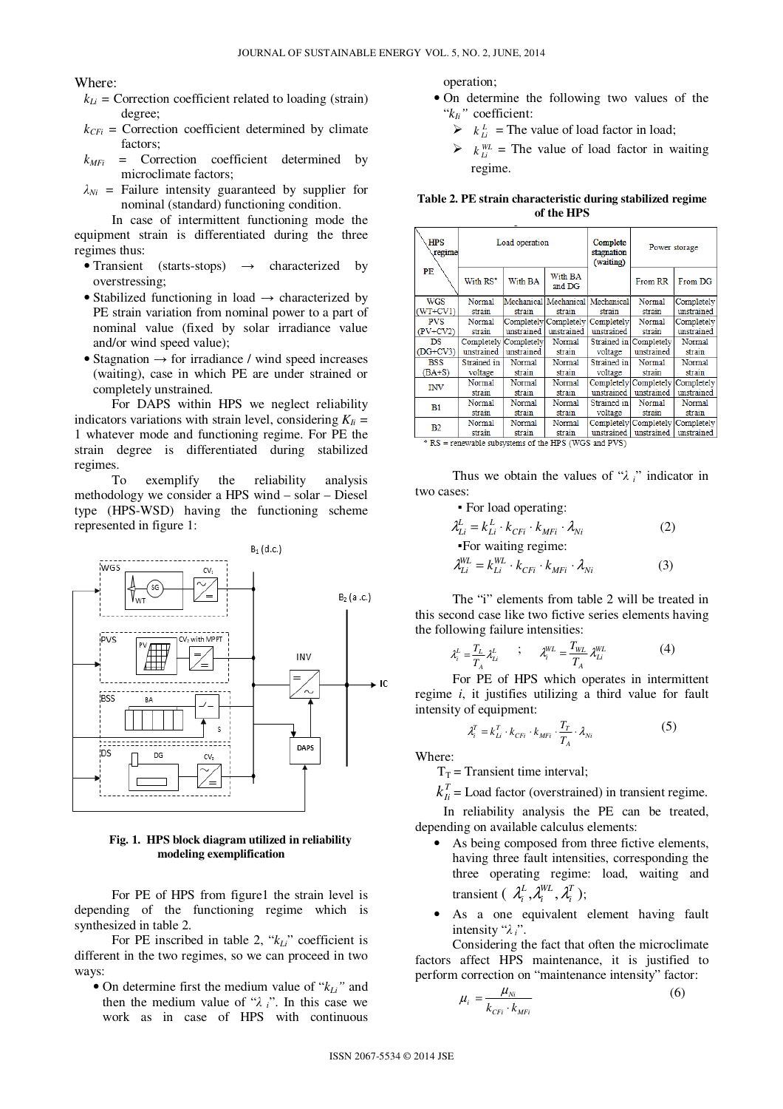Where:

- $k_{Li}$  = Correction coefficient related to loading (strain) degree;
- $k_{CFi}$  = Correction coefficient determined by climate factors;
- *kMFi* = Correction coefficient determined by microclimate factors;
- $\lambda_{Ni}$  = Failure intensity guaranteed by supplier for nominal (standard) functioning condition.

In case of intermittent functioning mode the equipment strain is differentiated during the three regimes thus:

- Transient (starts-stops)  $\rightarrow$  characterized by overstressing;
- Stabilized functioning in load  $\rightarrow$  characterized by PE strain variation from nominal power to a part of nominal value (fixed by solar irradiance value and/or wind speed value);
- Stagnation  $\rightarrow$  for irradiance / wind speed increases (waiting), case in which PE are under strained or completely unstrained.

For DAPS within HPS we neglect reliability indicators variations with strain level, considering  $K_{li}$  = 1 whatever mode and functioning regime. For PE the strain degree is differentiated during stabilized regimes.

To exemplify the reliability analysis methodology we consider a HPS wind – solar – Diesel type (HPS-WSD) having the functioning scheme represented in figure 1:



### **Fig. 1. HPS block diagram utilized in reliability modeling exemplification**

For PE of HPS from figure1 the strain level is depending of the functioning regime which is synthesized in table 2.

For PE inscribed in table 2, "*kLi*" coefficient is different in the two regimes, so we can proceed in two ways:

• On determine first the medium value of "*kLi"* and then the medium value of "λ *i*". In this case we work as in case of HPS with continuous

operation;

- On determine the following two values of the "*kIi"* coefficient:
	- $\triangleright$   $k_{li}^L$  = The value of load factor in load;
	- $\triangleright$   $k_{\perp i}^{WL}$  = The value of load factor in waiting regime.

**Table 2. PE strain characteristic during stabilized regime of the HPS** 

| <b>HPS</b><br>regime | Load operation        |               |                                  | Complete<br>stagnation<br>(waiting) |                       | Power storage |
|----------------------|-----------------------|---------------|----------------------------------|-------------------------------------|-----------------------|---------------|
| PE                   | With RS*              | With BA       | With BA<br>and DG                |                                     | From RR               | From DG       |
| WGS                  | Normal                |               | Mechanical Mechanical Mechanical |                                     | Normal                | Completely    |
| WT+CV1)              | strain                | strain        | strain                           | strain                              | strain                | unstrained    |
| PVS                  | Normal                |               | Completely Completely            | Completely                          | Normal                | Completely    |
| $PV+CV2$             | strain                | unstrained    | unstrained                       | unstrained                          | strain                | unstrained    |
| DS                   | Completely Completely |               | Normal                           | Strained in                         | Completely            | Normal        |
| (DG+CV3)             | unstrained            | unstrained    | strain                           | voltage                             | unstrained            | strain        |
| <b>BSS</b>           | Strained in           | Normal        | Normal                           | Strained in                         | Normal                | Normal        |
| $(BA+S)$             | voltage               | strain        | strain                           | voltage                             | strain                | strain        |
| <b>INV</b>           | Normal                | Normal        | Normal                           | Completely                          | Completely            | Completely    |
|                      | strain                | strain        | strain                           | unstrained                          | unstrained            | unstrained    |
| B1                   | Normal                | Normal        | Normal                           | Strained in                         | Normal                | Normal        |
|                      | strain                | strain        | strain                           | voltage                             | strain                | strain        |
| B <sub>2</sub>       | Normal                | Normal        | Normal                           |                                     | Completely Completely | Completely    |
| and work and         | strain<br>. .         | strain<br>. . | strain<br>$- - - -$<br>-------   | unstrained                          | unstrained            | unstrained    |

<sup>\*</sup> RS = renewable subsystems of the HPS (WGS and PVS)

Thus we obtain the values of "λ *i*" indicator in two cases:

▪ For load operating:

$$
\lambda_{Li}^{L} = k_{Li}^{L} \cdot k_{CFi} \cdot k_{MFi} \cdot \lambda_{Ni}
$$
\n
$$
\text{For waiting regime:}
$$
\n
$$
\lambda_{Li}^{WL} = k_{Li}^{WL} \cdot k_{CFi} \cdot k_{MFi} \cdot \lambda_{Ni}
$$
\n(3)

The "i" elements from table 2 will be treated in this second case like two fictive series elements having the following failure intensities:

$$
\lambda_i^L = \frac{T_L}{T_A} \lambda_{Li}^L \qquad ; \qquad \lambda_i^{WL} = \frac{T_{WL}}{T_A} \lambda_{Li}^{WL} \tag{4}
$$

For PE of HPS which operates in intermittent regime *i*, it justifies utilizing a third value for fault intensity of equipment:

$$
\lambda_i^T = k_{Li}^T \cdot k_{CFi} \cdot k_{MFi} \cdot \frac{T_T}{T_A} \cdot \lambda_{Ni}
$$
 (5)

Where:

 $T_T$  = Transient time interval;

 $k_{li}^T$  = Load factor (overstrained) in transient regime.

In reliability analysis the PE can be treated, depending on available calculus elements:

- As being composed from three fictive elements, having three fault intensities, corresponding the three operating regime: load, waiting and transient ( $\lambda_i^L, \lambda_i^{WL}, \lambda_i^T$ *WL i*  $\lambda_i^L$  ,  $\lambda_i^{WL}$  ,  $\lambda_i^T$  );
- As a one equivalent element having fault intensity "λ *i*".

Considering the fact that often the microclimate factors affect HPS maintenance, it is justified to perform correction on "maintenance intensity" factor:

$$
\mu_i = \frac{\mu_{Ni}}{k_{cri} \cdot k_{MFi}} \tag{6}
$$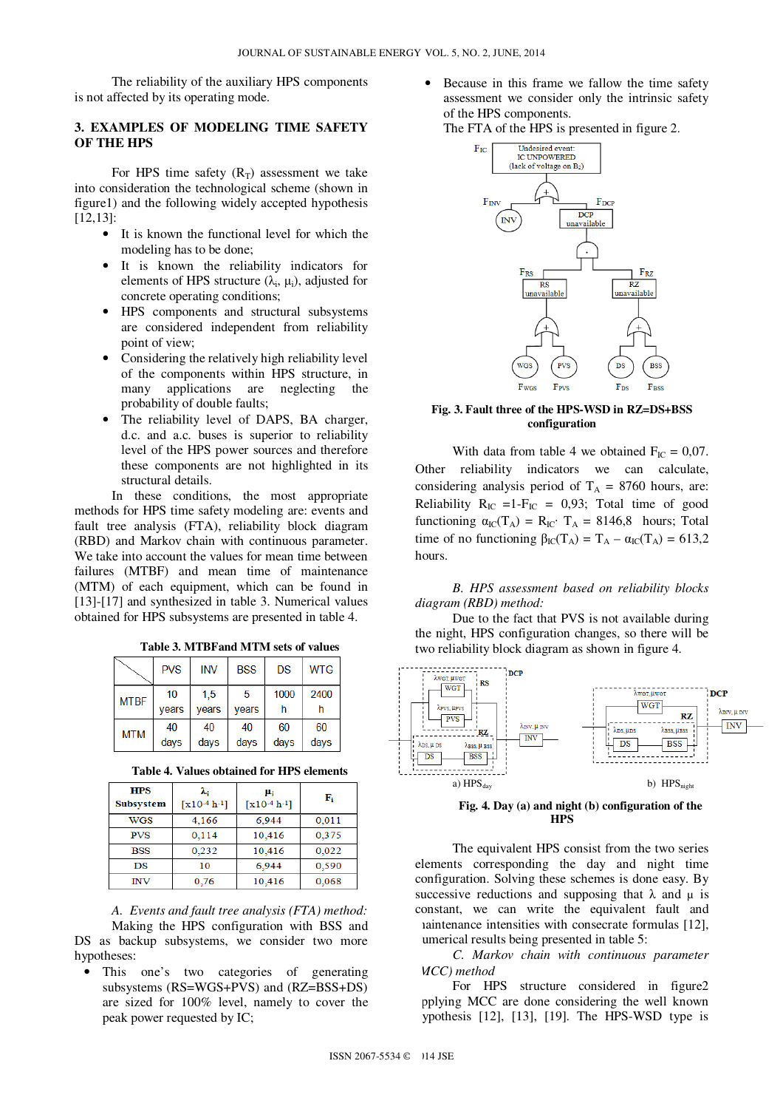The reliability of the auxiliary HPS components is not affected by its operating mode.

## **3. EXAMPLES OF MODELING TIME SAFETY OF THE HPS**

For HPS time safety  $(R_T)$  assessment we take into consideration the technological scheme (shown in figure1) and the following widely accepted hypothesis [12,13]:

- It is known the functional level for which the modeling has to be done;
- It is known the reliability indicators for elements of HPS structure  $(\lambda_i, \mu_i)$ , adjusted for concrete operating conditions;
- HPS components and structural subsystems are considered independent from reliability point of view;
- Considering the relatively high reliability level of the components within HPS structure, in many applications are neglecting the probability of double faults;
- The reliability level of DAPS, BA charger, d.c. and a.c. buses is superior to reliability level of the HPS power sources and therefore these components are not highlighted in its structural details.

In these conditions, the most appropriate methods for HPS time safety modeling are: events and fault tree analysis (FTA), reliability block diagram (RBD) and Markov chain with continuous parameter. We take into account the values for mean time between failures (MTBF) and mean time of maintenance (MTM) of each equipment, which can be found in [13]-[17] and synthesized in table 3. Numerical values obtained for HPS subsystems are presented in table 4.

|             | <b>PVS</b> | <b>INV</b> | <b>BSS</b> | DS   | <b>WTG</b> |
|-------------|------------|------------|------------|------|------------|
| <b>MTBF</b> | 10         | 1,5        | -5         | 1000 | 2400       |
|             | years      | years      | years      | h    | h          |
| <b>MTM</b>  | 40         | 40         | 40         | 60   | 60         |
|             | days       | days       | days       | days | days       |

**Table 3. MTBFand MTM sets of values** 

#### **Table 4. Values obtained for HPS elements**

| <b>HPS</b><br><b>Subsystem</b> | λ.<br>$[x10^{-4} h^{-1}]$ | μ,<br>$[x10^{-4} h^{-1}]$ | F.    |
|--------------------------------|---------------------------|---------------------------|-------|
| WGS                            | 4,166                     | 6.944                     | 0,011 |
| <b>PVS</b>                     | 0,114                     | 10,416                    | 0.375 |
| <b>BSS</b>                     | 0.232                     | 10.416                    | 0.022 |
| DS                             | 10                        | 6.944                     | 0.590 |
| INV                            | 0.76                      | 10,416                    | 0,068 |

*A. Events and fault tree analysis (FTA) method:*  Making the HPS configuration with BSS and DS as backup subsystems, we consider two more hypotheses:

This one's two categories of generating subsystems (RS=WGS+PVS) and (RZ=BSS+DS) are sized for 100% level, namely to cover the peak power requested by IC;

• Because in this frame we fallow the time safety assessment we consider only the intrinsic safety of the HPS components.

The FTA of the HPS is presented in figure 2.



#### **Fig. 3. Fault three of the HPS-WSD in RZ=DS+BSS configuration**

With data from table 4 we obtained  $F_{IC} = 0.07$ . Other reliability indicators we can calculate, considering analysis period of  $T_A = 8760$  hours, are: Reliability  $R_{IC} = 1-F_{IC} = 0.93$ ; Total time of good functioning  $\alpha_{\text{IC}}(T_A) = R_{\text{IC}} \cdot T_A = 8146.8$  hours; Total time of no functioning  $\beta_{IC}(T_A) = T_A - \alpha_{IC}(T_A) = 613.2$ hours.

*B. HPS assessment based on reliability blocks diagram (RBD) method:* 

Due to the fact that PVS is not available during the night, HPS configuration changes, so there will be two reliability block diagram as shown in figure 4.



#### **Fig. 4. Day (a) and night (b) configuration of the HPS**

The equivalent HPS consist from the two series elements corresponding the day and night time configuration. Solving these schemes is done easy. By successive reductions and supposing that  $\lambda$  and  $\mu$  is constant, we can write the equivalent fault and maintenance intensities with consecrate formulas [12], numerical results being presented in table 5:

*C. Markov chain with continuous parameter (MCC) method* 

For HPS structure considered in figure2 applying MCC are done considering the well known ypothesis  $[12]$ ,  $[13]$ ,  $[19]$ . The HPS-WSD type is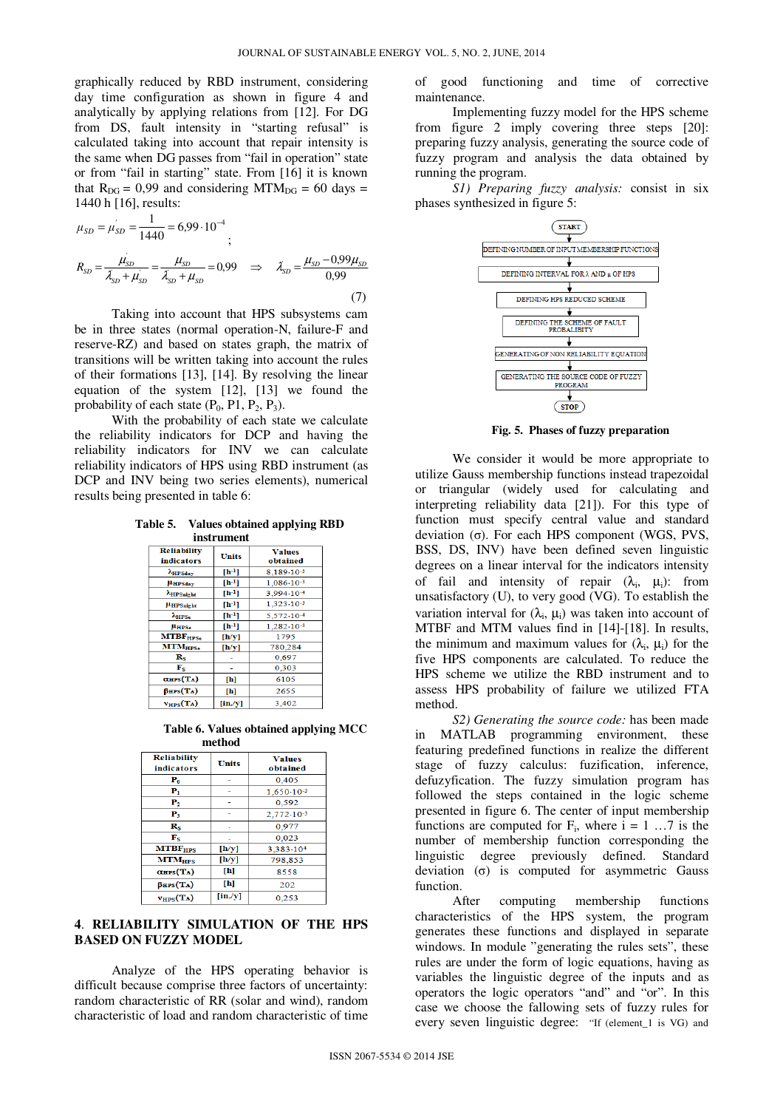graphically reduced by RBD instrument, considering day time configuration as shown in figure 4 and analytically by applying relations from [12]. For DG from DS, fault intensity in "starting refusal" is calculated taking into account that repair intensity is the same when DG passes from "fail in operation" state or from "fail in starting" state. From [16] it is known that  $R_{DG} = 0.99$  and considering MTM<sub>DG</sub> = 60 days = 1440 h [16], results:

$$
\mu_{SD} = \mu_{SD}^{'} = \frac{1}{1440} = 6,99 \cdot 10^{-4}
$$
\n
$$
R_{SD} = \frac{\mu_{SD}}{\lambda_{SD} + \mu_{SD}} = \frac{\mu_{SD}}{\lambda_{SD} + \mu_{SD}} = 0,99 \implies \lambda_{SD} = \frac{\mu_{SD} - 0,99\mu_{SD}}{0,99}
$$
\n(7)

Taking into account that HPS subsystems cam be in three states (normal operation-N, failure-F and reserve-RZ) and based on states graph, the matrix of transitions will be written taking into account the rules of their formations [13], [14]. By resolving the linear equation of the system [12], [13] we found the probability of each state  $(P_0, P_1, P_2, P_3)$ .

With the probability of each state we calculate the reliability indicators for DCP and having the reliability indicators for INV we can calculate reliability indicators of HPS using RBD instrument (as DCP and INV being two series elements), numerical results being presented in table 6:

**Table 5. Values obtained applying RBD instrument** 

| <b>Reliability</b><br>indicators | <b>Units</b> | <b>Values</b><br>obtained |  |  |
|----------------------------------|--------------|---------------------------|--|--|
| <b>AHPSday</b>                   | $[h^{-1}]$   | 8,189-10-5                |  |  |
| <b>HHPSday</b>                   | $[h^{-1}]$   | $1,086-10-3$              |  |  |
| AHPSnight                        | $[h^{-1}]$   | 3.994-10-4                |  |  |
| <b>µHPSnight</b>                 | $[h^{-1}]$   | $1,323 \cdot 10^{-3}$     |  |  |
| $\lambda_{\rm HPSe}$             | $[h^{-1}]$   | 5,572-10-4                |  |  |
| <b>HHPSe</b>                     | $[h-1]$      | 1.282-10-3                |  |  |
| MTBF <sub>HPS</sub>              | [h/y]        | 1795                      |  |  |
| <b>MTM</b> <sub>HPSe</sub>       | [h/y]        | 780,284                   |  |  |
| $R_S$                            |              | 0.697                     |  |  |
| $\mathbf{F}_{S}$                 |              | 0,303                     |  |  |
| $\alpha$ HPS(T <sub>A</sub> )    | [h]          | 6105                      |  |  |
| $\beta$ HPS(TA)                  | [h]          | 2655                      |  |  |
| $v_{HPS}(T_A)$                   | $[$ in./y]   | 3.402                     |  |  |

 **Table 6. Values obtained applying MCC method** 

| <b>Reliability</b><br><b>indicators</b> | <b>Units</b>                | <b>Values</b><br>obtained |
|-----------------------------------------|-----------------------------|---------------------------|
| $P_0$                                   |                             | 0,405                     |
| P,                                      |                             | $1,650 \cdot 10^{-3}$     |
| ${\bf P}_2$                             |                             | 0,592                     |
| $P_3$                                   |                             | $2,772 \cdot 10^{-3}$     |
| $\mathbf{R}_{\mathbf{S}}$               |                             | 0,977                     |
| $\mathbf{F}_{\mathbf{S}}$               |                             | 0.023                     |
| <b>MTBF<sub>HPS</sub></b>               | [h/y]                       | 3.383.104                 |
| <b>MTM<sub>HPS</sub></b>                | [h/y]                       | 798,853                   |
| $\alpha$ HPS $(T_A)$                    | [h]                         | 8558                      |
| $\beta$ HPS(TA)                         | [h]                         | 202                       |
| $v_{HPS}(T_A)$                          | $\left[\text{in./y}\right]$ | 0.253                     |

## **4**. **RELIABILITY SIMULATION OF THE HPS BASED ON FUZZY MODEL**

Analyze of the HPS operating behavior is difficult because comprise three factors of uncertainty: random characteristic of RR (solar and wind), random characteristic of load and random characteristic of time of good functioning and time of corrective maintenance.

Implementing fuzzy model for the HPS scheme from figure 2 imply covering three steps [20]: preparing fuzzy analysis, generating the source code of fuzzy program and analysis the data obtained by running the program.

*S1) Preparing fuzzy analysis:* consist in six phases synthesized in figure 5:



**Fig. 5. Phases of fuzzy preparation** 

We consider it would be more appropriate to utilize Gauss membership functions instead trapezoidal or triangular (widely used for calculating and interpreting reliability data [21]). For this type of function must specify central value and standard deviation (σ). For each HPS component (WGS, PVS, BSS, DS, INV) have been defined seven linguistic degrees on a linear interval for the indicators intensity of fail and intensity of repair  $(\lambda_i, \mu_i)$ : from unsatisfactory (U), to very good (VG). To establish the variation interval for  $(\lambda_i, \mu_i)$  was taken into account of MTBF and MTM values find in [14]-[18]. In results, the minimum and maximum values for  $(\lambda_i, \mu_i)$  for the five HPS components are calculated. To reduce the HPS scheme we utilize the RBD instrument and to assess HPS probability of failure we utilized FTA method.

*S2) Generating the source code:* has been made in MATLAB programming environment, these featuring predefined functions in realize the different stage of fuzzy calculus: fuzification, inference, defuzyfication. The fuzzy simulation program has followed the steps contained in the logic scheme presented in figure 6. The center of input membership functions are computed for  $F_i$ , where  $i = 1 \ldots 7$  is the number of membership function corresponding the linguistic degree previously defined. Standard deviation  $(\sigma)$  is computed for asymmetric Gauss function.

After computing membership functions characteristics of the HPS system, the program generates these functions and displayed in separate windows. In module "generating the rules sets", these rules are under the form of logic equations, having as variables the linguistic degree of the inputs and as operators the logic operators "and" and "or". In this case we choose the fallowing sets of fuzzy rules for every seven linguistic degree: "If (element\_1 is VG) and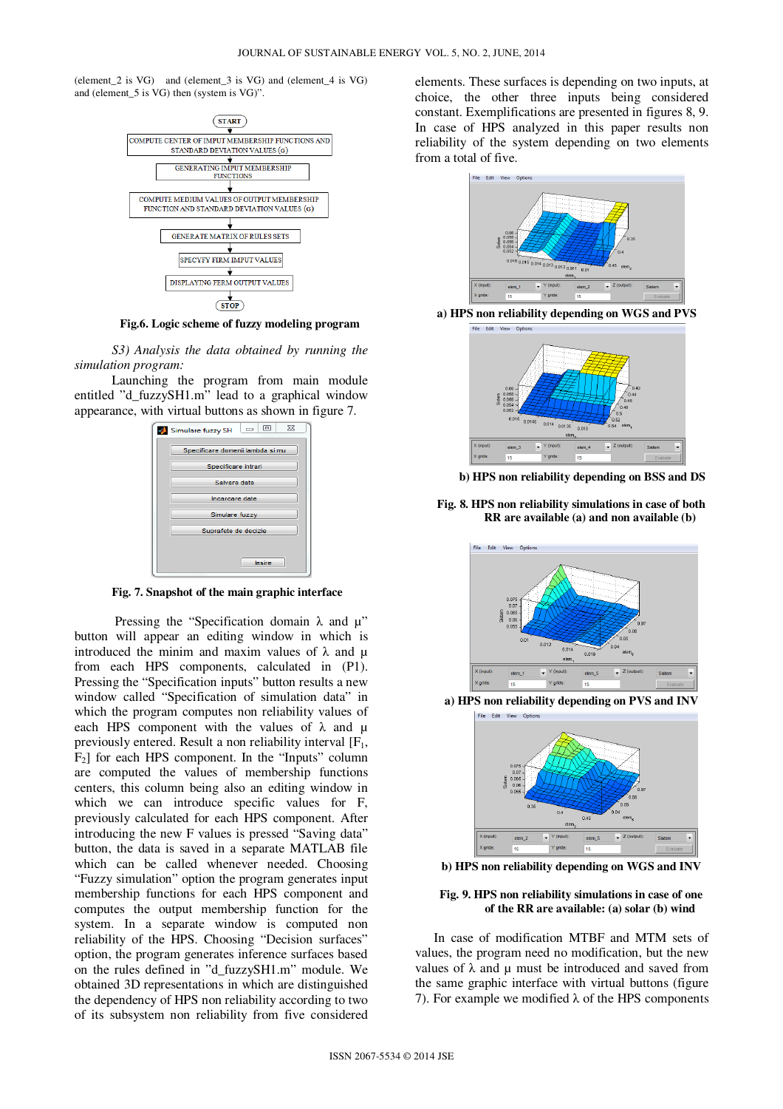(element\_2 is VG) and (element\_3 is VG) and (element\_4 is VG) and (element\_5 is VG) then (system is VG)".



**Fig.6. Logic scheme of fuzzy modeling program** 

*S3) Analysis the data obtained by running the simulation program:* 

Launching the program from main module entitled "d\_fuzzySH1.m" lead to a graphical window appearance, with virtual buttons as shown in figure 7.



**Fig. 7. Snapshot of the main graphic interface** 

Pressing the "Specification domain  $\lambda$  and  $\mu$ " button will appear an editing window in which is introduced the minim and maxim values of  $\lambda$  and  $\mu$ from each HPS components, calculated in (P1). Pressing the "Specification inputs" button results a new window called "Specification of simulation data" in which the program computes non reliability values of each HPS component with the values of  $\lambda$  and  $\mu$ previously entered. Result a non reliability interval  $[F_1,$  $F<sub>2</sub>$  for each HPS component. In the "Inputs" column are computed the values of membership functions centers, this column being also an editing window in which we can introduce specific values for F, previously calculated for each HPS component. After introducing the new F values is pressed "Saving data" button, the data is saved in a separate MATLAB file which can be called whenever needed. Choosing "Fuzzy simulation" option the program generates input membership functions for each HPS component and computes the output membership function for the system. In a separate window is computed non reliability of the HPS. Choosing "Decision surfaces" option, the program generates inference surfaces based on the rules defined in "d\_fuzzySH1.m" module. We obtained 3D representations in which are distinguished the dependency of HPS non reliability according to two of its subsystem non reliability from five considered elements. These surfaces is depending on two inputs, at choice, the other three inputs being considered constant. Exemplifications are presented in figures 8, 9. In case of HPS analyzed in this paper results non reliability of the system depending on two elements from a total of five.



**a) HPS non reliability depending on WGS and PVS** 



 **b) HPS non reliability depending on BSS and DS** 





**a) HPS non reliability depending on PVS and INV** 



**b) HPS non reliability depending on WGS and INV** 

#### **Fig. 9. HPS non reliability simulations in case of one of the RR are available: (a) solar (b) wind**

In case of modification MTBF and MTM sets of values, the program need no modification, but the new values of  $\lambda$  and  $\mu$  must be introduced and saved from the same graphic interface with virtual buttons (figure 7). For example we modified  $λ$  of the HPS components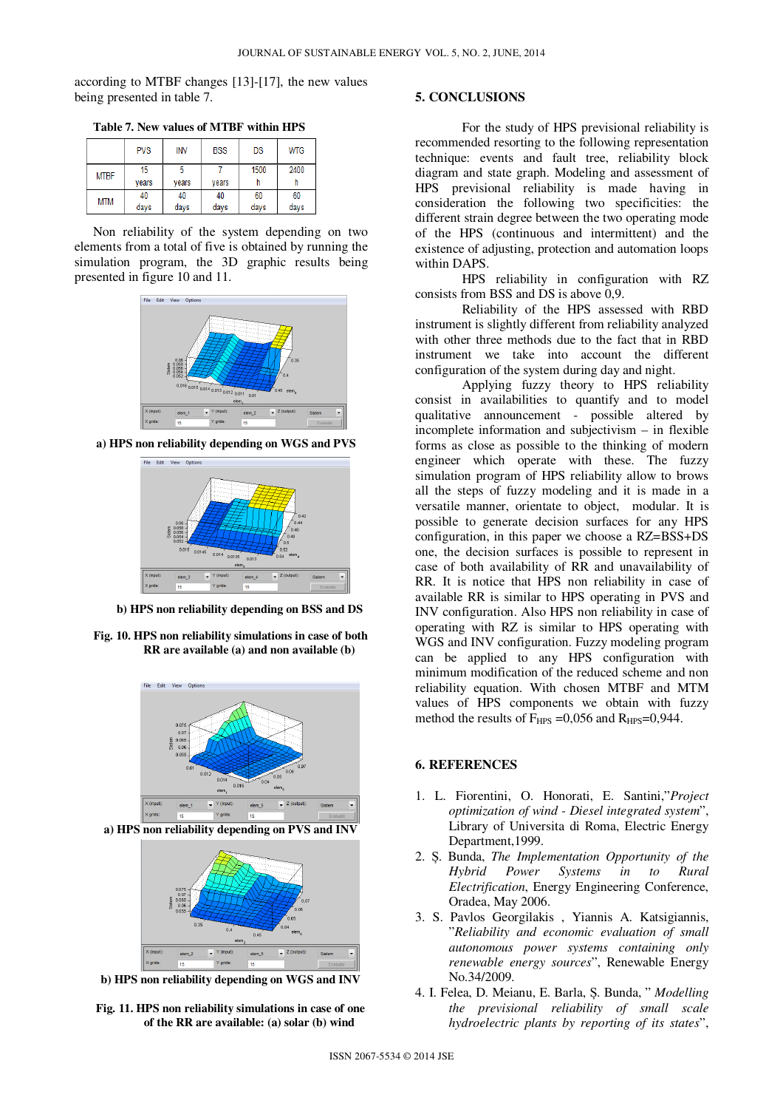according to MTBF changes [13]-[17], the new values being presented in table 7.

**Table 7. New values of MTBF within HPS** 

|             | <b>PVS</b> | INV   | <b>BSS</b> | DS   | <b>WTG</b> |
|-------------|------------|-------|------------|------|------------|
| <b>MTBF</b> | 15         |       |            | 1500 | 2400       |
|             | vears      | vears | vears      | n    |            |
| MTM         | 40         | 40    | 40         | 60   | 60         |
|             | days       | days  | days       | days | days       |

Non reliability of the system depending on two elements from a total of five is obtained by running the simulation program, the 3D graphic results being presented in figure 10 and 11.



**a) HPS non reliability depending on WGS and PVS** 



**b) HPS non reliability depending on BSS and DS** 

**Fig. 10. HPS non reliability simulations in case of both RR are available (a) and non available (b)** 





**b) HPS non reliability depending on WGS and INV** 

**Fig. 11. HPS non reliability simulations in case of one of the RR are available: (a) solar (b) wind** 

## **5. CONCLUSIONS**

For the study of HPS previsional reliability is recommended resorting to the following representation technique: events and fault tree, reliability block diagram and state graph. Modeling and assessment of HPS previsional reliability is made having in consideration the following two specificities: the different strain degree between the two operating mode of the HPS (continuous and intermittent) and the existence of adjusting, protection and automation loops within DAPS.

HPS reliability in configuration with RZ consists from BSS and DS is above 0,9.

Reliability of the HPS assessed with RBD instrument is slightly different from reliability analyzed with other three methods due to the fact that in RBD instrument we take into account the different configuration of the system during day and night.

Applying fuzzy theory to HPS reliability consist in availabilities to quantify and to model qualitative announcement - possible altered by incomplete information and subjectivism – in flexible forms as close as possible to the thinking of modern engineer which operate with these. The fuzzy simulation program of HPS reliability allow to brows all the steps of fuzzy modeling and it is made in a versatile manner, orientate to object, modular. It is possible to generate decision surfaces for any HPS configuration, in this paper we choose a RZ=BSS+DS one, the decision surfaces is possible to represent in case of both availability of RR and unavailability of RR. It is notice that HPS non reliability in case of available RR is similar to HPS operating in PVS and INV configuration. Also HPS non reliability in case of operating with RZ is similar to HPS operating with WGS and INV configuration. Fuzzy modeling program can be applied to any HPS configuration with minimum modification of the reduced scheme and non reliability equation. With chosen MTBF and MTM values of HPS components we obtain with fuzzy method the results of  $F_{HPS} = 0.056$  and  $R_{HPS} = 0.944$ .

### **6. REFERENCES**

- 1. L. Fiorentini, O. Honorati, E. Santini,"*Project optimization of wind - Diesel integrated system*", Library of Universita di Roma, Electric Energy Department,1999.
- 2. Ș. Bunda, *The Implementation Opportunity of the Hybrid Power Systems in to Rural Electrification*, Energy Engineering Conference, Oradea, May 2006.
- 3. S. Pavlos Georgilakis , Yiannis A. Katsigiannis, "*Reliability and economic evaluation of small autonomous power systems containing only renewable energy sources*", Renewable Energy No.34/2009.
- 4. I. Felea, D. Meianu, E. Barla, Ș. Bunda, " *Modelling the previsional reliability of small scale hydroelectric plants by reporting of its states*",